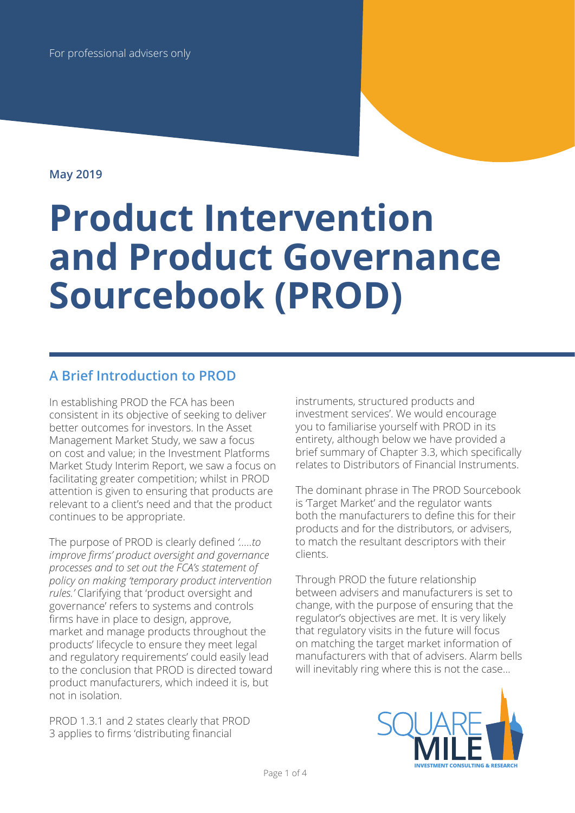**May 2019**

# **Product Intervention and Product Governance Sourcebook (PROD)**

# **A Brief Introduction to PROD**

In establishing PROD the FCA has been consistent in its objective of seeking to deliver better outcomes for investors. In the Asset Management Market Study, we saw a focus on cost and value; in the Investment Platforms Market Study Interim Report, we saw a focus on facilitating greater competition; whilst in PROD attention is given to ensuring that products are relevant to a client's need and that the product continues to be appropriate.

The purpose of PROD is clearly defined *'…..to improve firms' product oversight and governance processes and to set out the FCA's statement of policy on making 'temporary product intervention rules.'* Clarifying that 'product oversight and governance' refers to systems and controls firms have in place to design, approve, market and manage products throughout the products' lifecycle to ensure they meet legal and regulatory requirements' could easily lead to the conclusion that PROD is directed toward product manufacturers, which indeed it is, but not in isolation.

PROD 1.3.1 and 2 states clearly that PROD 3 applies to firms 'distributing financial

instruments, structured products and investment services'. We would encourage you to familiarise yourself with PROD in its entirety, although below we have provided a brief summary of Chapter 3.3, which specifically relates to Distributors of Financial Instruments.

The dominant phrase in The PROD Sourcebook is 'Target Market' and the regulator wants both the manufacturers to define this for their products and for the distributors, or advisers, to match the resultant descriptors with their clients.

Through PROD the future relationship between advisers and manufacturers is set to change, with the purpose of ensuring that the regulator's objectives are met. It is very likely that regulatory visits in the future will focus on matching the target market information of manufacturers with that of advisers. Alarm bells will inevitably ring where this is not the case…

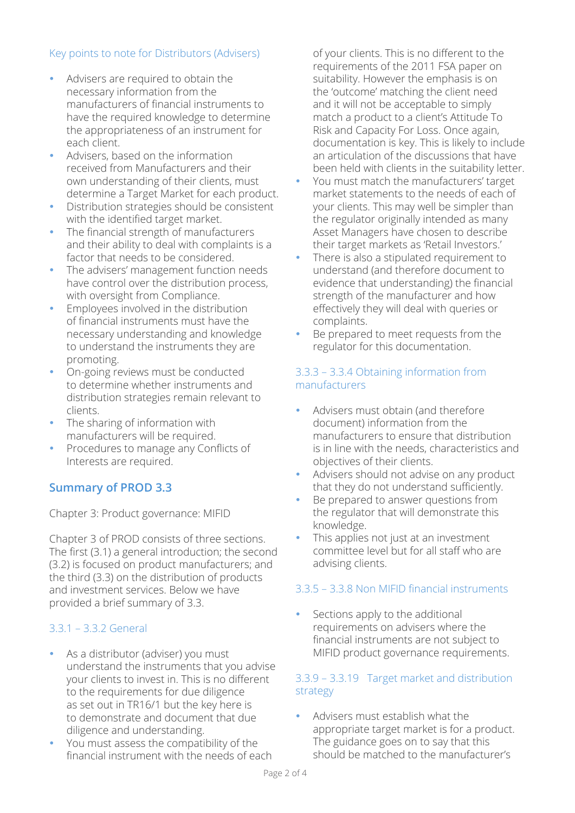## Key points to note for Distributors (Advisers)

- Advisers are required to obtain the necessary information from the manufacturers of financial instruments to have the required knowledge to determine the appropriateness of an instrument for each client.
- Advisers, based on the information received from Manufacturers and their own understanding of their clients, must determine a Target Market for each product.
- Distribution strategies should be consistent with the identified target market.
- The financial strength of manufacturers and their ability to deal with complaints is a factor that needs to be considered.
- The advisers' management function needs have control over the distribution process, with oversight from Compliance.
- Employees involved in the distribution of financial instruments must have the necessary understanding and knowledge to understand the instruments they are promoting.
- On-going reviews must be conducted to determine whether instruments and distribution strategies remain relevant to clients.
- The sharing of information with manufacturers will be required.
- Procedures to manage any Conflicts of Interests are required.

# **Summary of PROD 3.3**

Chapter 3: Product governance: MIFID

Chapter 3 of PROD consists of three sections. The first (3.1) a general introduction; the second (3.2) is focused on product manufacturers; and the third (3.3) on the distribution of products and investment services. Below we have provided a brief summary of 3.3.

# 3.3.1 – 3.3.2 General

- As a distributor (adviser) you must understand the instruments that you advise your clients to invest in. This is no different to the requirements for due diligence as set out in TR16/1 but the key here is to demonstrate and document that due diligence and understanding.
- You must assess the compatibility of the financial instrument with the needs of each

of your clients. This is no different to the requirements of the 2011 FSA paper on suitability. However the emphasis is on the 'outcome' matching the client need and it will not be acceptable to simply match a product to a client's Attitude To Risk and Capacity For Loss. Once again, documentation is key. This is likely to include an articulation of the discussions that have been held with clients in the suitability letter.

- You must match the manufacturers' target market statements to the needs of each of your clients. This may well be simpler than the regulator originally intended as many Asset Managers have chosen to describe their target markets as 'Retail Investors.'
- There is also a stipulated requirement to understand (and therefore document to evidence that understanding) the financial strength of the manufacturer and how effectively they will deal with queries or complaints.
- Be prepared to meet requests from the regulator for this documentation.

#### 3.3.3 – 3.3.4 Obtaining information from manufacturers

- Advisers must obtain (and therefore document) information from the manufacturers to ensure that distribution is in line with the needs, characteristics and objectives of their clients.
- Advisers should not advise on any product that they do not understand sufficiently.
- Be prepared to answer questions from the regulator that will demonstrate this knowledge.
- This applies not just at an investment committee level but for all staff who are advising clients.

## 3.3.5 – 3.3.8 Non MIFID financial instruments

Sections apply to the additional requirements on advisers where the financial instruments are not subject to MIFID product governance requirements.

#### 3.3.9 – 3.3.19 Target market and distribution strategy

• Advisers must establish what the appropriate target market is for a product. The guidance goes on to say that this should be matched to the manufacturer's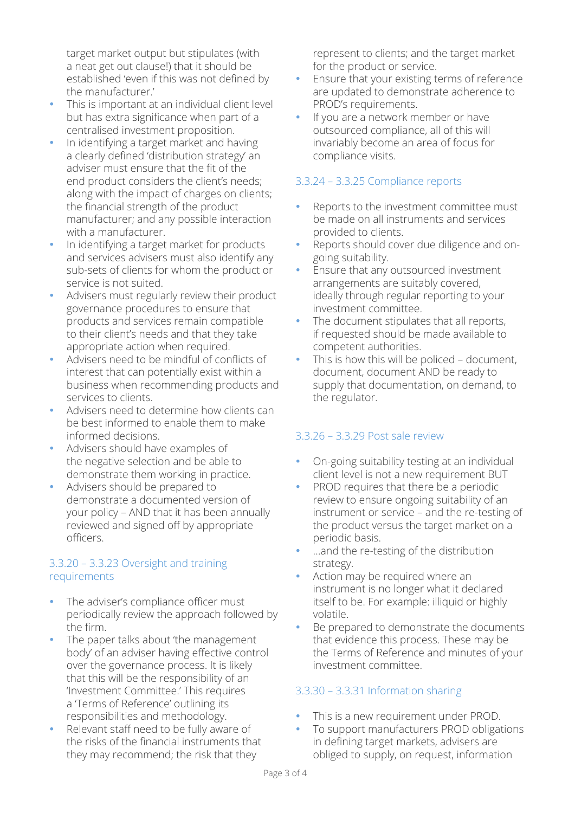target market output but stipulates (with a neat get out clause!) that it should be established 'even if this was not defined by the manufacturer.'

- This is important at an individual client level but has extra significance when part of a centralised investment proposition.
- In identifying a target market and having a clearly defined 'distribution strategy' an adviser must ensure that the fit of the end product considers the client's needs; along with the impact of charges on clients; the financial strength of the product manufacturer; and any possible interaction with a manufacturer.
- In identifying a target market for products and services advisers must also identify any sub-sets of clients for whom the product or service is not suited.
- Advisers must regularly review their product governance procedures to ensure that products and services remain compatible to their client's needs and that they take appropriate action when required.
- Advisers need to be mindful of conflicts of interest that can potentially exist within a business when recommending products and services to clients.
- Advisers need to determine how clients can be best informed to enable them to make informed decisions.
- Advisers should have examples of the negative selection and be able to demonstrate them working in practice.
- Advisers should be prepared to demonstrate a documented version of your policy – AND that it has been annually reviewed and signed off by appropriate officers.

#### 3.3.20 – 3.3.23 Oversight and training requirements

- The adviser's compliance officer must periodically review the approach followed by the firm.
- The paper talks about 'the management' body' of an adviser having effective control over the governance process. It is likely that this will be the responsibility of an 'Investment Committee.' This requires a 'Terms of Reference' outlining its responsibilities and methodology.
- Relevant staff need to be fully aware of the risks of the financial instruments that they may recommend; the risk that they

represent to clients; and the target market for the product or service.

- Ensure that your existing terms of reference are updated to demonstrate adherence to PROD's requirements.
- If you are a network member or have outsourced compliance, all of this will invariably become an area of focus for compliance visits.

# 3.3.24 – 3.3.25 Compliance reports

- Reports to the investment committee must be made on all instruments and services provided to clients.
- Reports should cover due diligence and ongoing suitability.
- Ensure that any outsourced investment arrangements are suitably covered, ideally through regular reporting to your investment committee.
- The document stipulates that all reports, if requested should be made available to competent authorities.
- This is how this will be policed document, document, document AND be ready to supply that documentation, on demand, to the regulator.

## 3.3.26 – 3.3.29 Post sale review

- On-going suitability testing at an individual client level is not a new requirement BUT
- PROD requires that there be a periodic review to ensure ongoing suitability of an instrument or service – and the re-testing of the product versus the target market on a periodic basis.
- ...and the re-testing of the distribution strategy.
- Action may be required where an instrument is no longer what it declared itself to be. For example: illiquid or highly volatile.
- Be prepared to demonstrate the documents that evidence this process. These may be the Terms of Reference and minutes of your investment committee.

# 3.3.30 – 3.3.31 Information sharing

- This is a new requirement under PROD.
- To support manufacturers PROD obligations in defining target markets, advisers are obliged to supply, on request, information